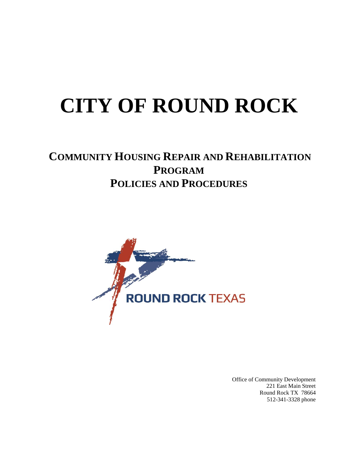# **CITY OF ROUND ROCK**

### **COMMUNITY HOUSING REPAIR AND REHABILITATION PROGRAM POLICIES AND PROCEDURES**



Office of Community Development 221 East Main Street Round Rock TX 78664 512-341-3328 phone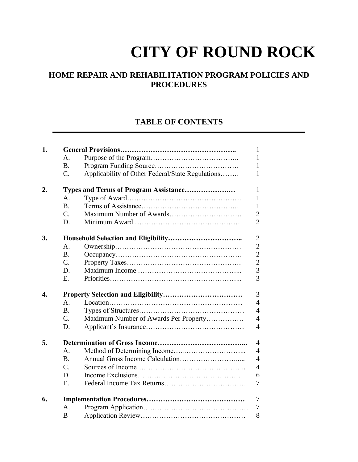## **CITY OF ROUND ROCK**

#### **HOME REPAIR AND REHABILITATION PROGRAM POLICIES AND PROCEDURES**

#### **TABLE OF CONTENTS**

| 1. |                  |                                                  | 1              |
|----|------------------|--------------------------------------------------|----------------|
|    | A <sub>1</sub>   |                                                  | 1              |
|    | $\mathbf{B}$ .   |                                                  | 1              |
|    | $\overline{C}$ . | Applicability of Other Federal/State Regulations | 1              |
| 2. |                  | Types and Terms of Program Assistance            | $\mathbf{1}$   |
|    | A <sub>1</sub>   |                                                  | $\mathbf{1}$   |
|    | <b>B.</b>        |                                                  | 1              |
|    | $\mathcal{C}$ .  |                                                  | $\overline{2}$ |
|    | D.               |                                                  | $\overline{2}$ |
| 3. |                  |                                                  | $\overline{2}$ |
|    | A <sub>1</sub>   |                                                  | $\overline{2}$ |
|    | <b>B.</b>        |                                                  | $\overline{2}$ |
|    | $\mathcal{C}$ .  |                                                  | $\overline{2}$ |
|    | D.               |                                                  | $\overline{3}$ |
|    | Ε.               |                                                  | $\overline{3}$ |
| 4. |                  |                                                  | 3              |
|    | $\mathbf{A}$ .   |                                                  | $\overline{4}$ |
|    | <b>B.</b>        |                                                  | $\overline{4}$ |
|    | $\mathcal{C}$ .  | Maximum Number of Awards Per Property            | $\overline{4}$ |
|    | D.               |                                                  | $\overline{4}$ |
| 5. |                  |                                                  | $\overline{4}$ |
|    | $\mathsf{A}$ .   |                                                  | $\overline{4}$ |
|    | <b>B.</b>        |                                                  | $\overline{4}$ |
|    | $\overline{C}$ . |                                                  | $\overline{4}$ |
|    | D                |                                                  | 6              |
|    | Е.               |                                                  | 7              |
| 6. |                  |                                                  | 7              |
|    | $\mathsf{A}$ .   |                                                  | 7              |
|    | B                |                                                  | 8              |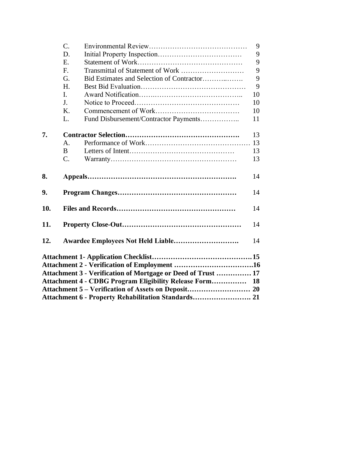|     | $C_{\cdot}$     |                                                              | 9  |
|-----|-----------------|--------------------------------------------------------------|----|
|     | D.              |                                                              | 9  |
|     | Е.              |                                                              | 9  |
|     | F.              | Transmittal of Statement of Work                             | 9  |
|     | G.              | Bid Estimates and Selection of Contractor                    | 9  |
|     | H.              |                                                              | 9  |
|     | I.              |                                                              | 10 |
|     | J.              |                                                              | 10 |
|     | K.              |                                                              | 10 |
|     | L.              | Fund Disbursement/Contractor Payments                        | 11 |
| 7.  |                 |                                                              | 13 |
|     | $\mathsf{A}$ .  |                                                              | 13 |
|     | B               |                                                              | 13 |
|     | $\mathcal{C}$ . |                                                              | 13 |
| 8.  |                 |                                                              | 14 |
| 9.  |                 |                                                              | 14 |
| 10. |                 |                                                              | 14 |
| 11. |                 |                                                              | 14 |
| 12. |                 |                                                              | 14 |
|     |                 |                                                              |    |
|     |                 |                                                              |    |
|     |                 | Attachment 3 - Verification of Mortgage or Deed of Trust  17 |    |
|     |                 | Attachment 4 - CDBG Program Eligibility Release Form 18      |    |
|     |                 |                                                              |    |
|     |                 | Attachment 6 - Property Rehabilitation Standards 21          |    |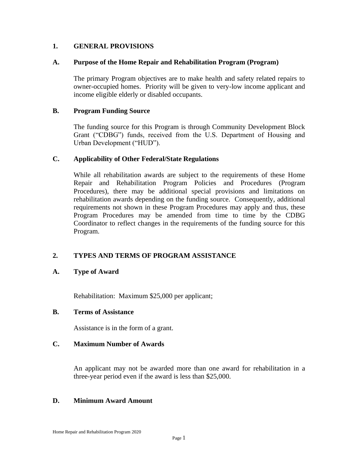#### **1. GENERAL PROVISIONS**

#### **A. Purpose of the Home Repair and Rehabilitation Program (Program)**

The primary Program objectives are to make health and safety related repairs to owner-occupied homes. Priority will be given to very-low income applicant and income eligible elderly or disabled occupants.

#### **B. Program Funding Source**

The funding source for this Program is through Community Development Block Grant ("CDBG") funds, received from the U.S. Department of Housing and Urban Development ("HUD").

#### **C. Applicability of Other Federal/State Regulations**

While all rehabilitation awards are subject to the requirements of these Home Repair and Rehabilitation Program Policies and Procedures (Program Procedures), there may be additional special provisions and limitations on rehabilitation awards depending on the funding source. Consequently, additional requirements not shown in these Program Procedures may apply and thus, these Program Procedures may be amended from time to time by the CDBG Coordinator to reflect changes in the requirements of the funding source for this Program.

#### **2. TYPES AND TERMS OF PROGRAM ASSISTANCE**

**A. Type of Award**

Rehabilitation: Maximum \$25,000 per applicant;

#### **B. Terms of Assistance**

Assistance is in the form of a grant.

#### **C. Maximum Number of Awards**

An applicant may not be awarded more than one award for rehabilitation in a three-year period even if the award is less than \$25,000.

#### **D. Minimum Award Amount**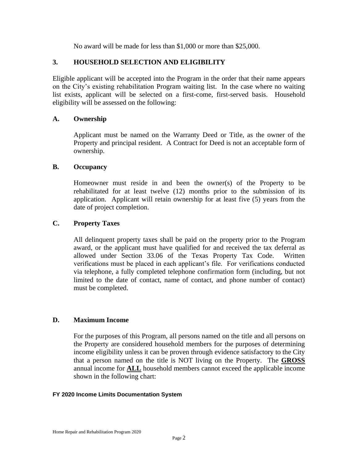No award will be made for less than \$1,000 or more than \$25,000.

#### **3. HOUSEHOLD SELECTION AND ELIGIBILITY**

Eligible applicant will be accepted into the Program in the order that their name appears on the City's existing rehabilitation Program waiting list. In the case where no waiting list exists, applicant will be selected on a first-come, first-served basis. Household eligibility will be assessed on the following:

#### **A. Ownership**

Applicant must be named on the Warranty Deed or Title, as the owner of the Property and principal resident. A Contract for Deed is not an acceptable form of ownership.

#### **B. Occupancy**

Homeowner must reside in and been the owner(s) of the Property to be rehabilitated for at least twelve (12) months prior to the submission of its application. Applicant will retain ownership for at least five (5) years from the date of project completion.

#### **C. Property Taxes**

All delinquent property taxes shall be paid on the property prior to the Program award, or the applicant must have qualified for and received the tax deferral as allowed under Section 33.06 of the Texas Property Tax Code. Written verifications must be placed in each applicant's file. For verifications conducted via telephone, a fully completed telephone confirmation form (including, but not limited to the date of contact, name of contact, and phone number of contact) must be completed.

#### **D. Maximum Income**

For the purposes of this Program, all persons named on the title and all persons on the Property are considered household members for the purposes of determining income eligibility unless it can be proven through evidence satisfactory to the City that a person named on the title is NOT living on the Property. The **GROSS** annual income for **ALL** household members cannot exceed the applicable income shown in the following chart:

#### **FY 2020 Income Limits Documentation System**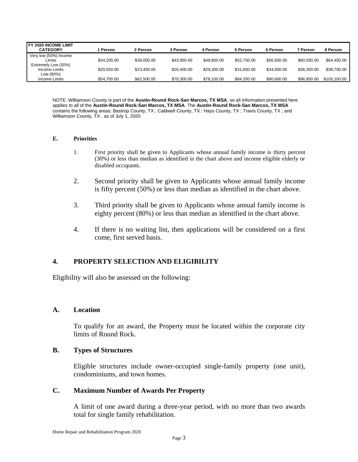| <b>IFY 2020 INCOME LIMIT</b><br><b>CATEGORY</b>   | Person      | 2 Person    | 3 Person    | 4 Person    | 5 Person    | 6 Person    | <b>7 Person</b> | 8 Person     |
|---------------------------------------------------|-------------|-------------|-------------|-------------|-------------|-------------|-----------------|--------------|
| Very low (50%) Income<br>_imits                   | \$34,200.00 | \$39,050,00 | \$43.950.00 | \$48,800,00 | \$52,750.00 | \$56,650.00 | \$60,550,00     | \$64,450.00  |
| Extremely Low (30%)<br>Income Limits<br>Low (80%) | \$20,550.00 | \$23.450.00 | \$26,400.00 | \$29,300.00 | \$31.650.00 | \$34.000.00 | \$36,350.00     | \$38,700.00  |
| Income Limits                                     | \$54.700.00 | \$62,500.00 | \$70,300.00 | \$78,100.00 | \$84.350.00 | \$90,600.00 | \$96,850,00     | \$103,100.00 |

NOTE: Williamson County is part of the **Austin-Round Rock-San Marcos, TX MSA**, so all information presented here applies to all of the **Austin-Round Rock-San Marcos, TX MSA**. The **Austin-Round Rock-San Marcos, TX MSA** contains the following areas: Bastrop County, TX ; Caldwell County, TX ; Hays County, TX ; Travis County, TX ; and Williamson County, TX . as of July 1, 2020

#### **E. Priorities**

- 1. First priority shall be given to Applicants whose annual family income is thirty percent (30%) or less than median as identified in the chart above and income eligible elderly or disabled occupants.
- 2. Second priority shall be given to Applicants whose annual family income is fifty percent (50%) or less than median as identified in the chart above.
- 3. Third priority shall be given to Applicants whose annual family income is eighty percent (80%) or less than median as identified in the chart above.
- 4. If there is no waiting list, then applications will be considered on a first come, first served basis.

#### **4. PROPERTY SELECTION AND ELIGIBILITY**

Eligibility will also be assessed on the following:

#### **A. Location**

To qualify for an award, the Property must be located within the corporate city limits of Round Rock.

#### **B. Types of Structures**

Eligible structures include owner-occupied single-family property (one unit), condominiums, and town homes.

#### **C. Maximum Number of Awards Per Property**

A limit of one award during a three-year period, with no more than two awards total for single family rehabilitation.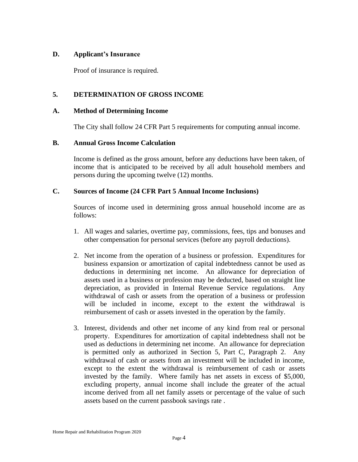#### **D. Applicant's Insurance**

Proof of insurance is required.

#### **5. DETERMINATION OF GROSS INCOME**

#### **A. Method of Determining Income**

The City shall follow 24 CFR Part 5 requirements for computing annual income.

#### **B. Annual Gross Income Calculation**

Income is defined as the gross amount, before any deductions have been taken, of income that is anticipated to be received by all adult household members and persons during the upcoming twelve (12) months.

#### **C. Sources of Income (24 CFR Part 5 Annual Income Inclusions)**

Sources of income used in determining gross annual household income are as follows:

- 1. All wages and salaries, overtime pay, commissions, fees, tips and bonuses and other compensation for personal services (before any payroll deductions).
- 2. Net income from the operation of a business or profession. Expenditures for business expansion or amortization of capital indebtedness cannot be used as deductions in determining net income. An allowance for depreciation of assets used in a business or profession may be deducted, based on straight line depreciation, as provided in Internal Revenue Service regulations. Any withdrawal of cash or assets from the operation of a business or profession will be included in income, except to the extent the withdrawal is reimbursement of cash or assets invested in the operation by the family.
- 3. Interest, dividends and other net income of any kind from real or personal property. Expenditures for amortization of capital indebtedness shall not be used as deductions in determining net income. An allowance for depreciation is permitted only as authorized in Section 5, Part C, Paragraph 2. Any withdrawal of cash or assets from an investment will be included in income, except to the extent the withdrawal is reimbursement of cash or assets invested by the family. Where family has net assets in excess of \$5,000, excluding property, annual income shall include the greater of the actual income derived from all net family assets or percentage of the value of such assets based on the current passbook savings rate .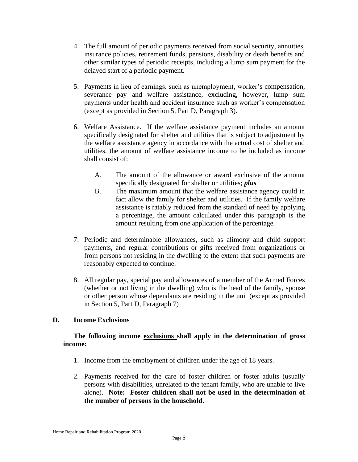- 4. The full amount of periodic payments received from social security, annuities, insurance policies, retirement funds, pensions, disability or death benefits and other similar types of periodic receipts, including a lump sum payment for the delayed start of a periodic payment.
- 5. Payments in lieu of earnings, such as unemployment, worker's compensation, severance pay and welfare assistance, excluding, however, lump sum payments under health and accident insurance such as worker's compensation (except as provided in Section 5, Part D, Paragraph 3).
- 6. Welfare Assistance. If the welfare assistance payment includes an amount specifically designated for shelter and utilities that is subject to adjustment by the welfare assistance agency in accordance with the actual cost of shelter and utilities, the amount of welfare assistance income to be included as income shall consist of:
	- A. The amount of the allowance or award exclusive of the amount specifically designated for shelter or utilities; *plus*
	- B. The maximum amount that the welfare assistance agency could in fact allow the family for shelter and utilities. If the family welfare assistance is ratably reduced from the standard of need by applying a percentage, the amount calculated under this paragraph is the amount resulting from one application of the percentage.
- 7. Periodic and determinable allowances, such as alimony and child support payments, and regular contributions or gifts received from organizations or from persons not residing in the dwelling to the extent that such payments are reasonably expected to continue.
- 8. All regular pay, special pay and allowances of a member of the Armed Forces (whether or not living in the dwelling) who is the head of the family, spouse or other person whose dependants are residing in the unit (except as provided in Section 5, Part D, Paragraph 7)

#### **D. Income Exclusions**

#### **The following income exclusions shall apply in the determination of gross income:**

- 1. Income from the employment of children under the age of 18 years.
- 2. Payments received for the care of foster children or foster adults (usually persons with disabilities, unrelated to the tenant family, who are unable to live alone). **Note: Foster children shall not be used in the determination of the number of persons in the household**.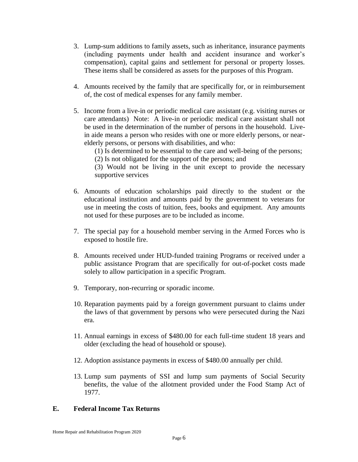- 3. Lump-sum additions to family assets, such as inheritance, insurance payments (including payments under health and accident insurance and worker's compensation), capital gains and settlement for personal or property losses. These items shall be considered as assets for the purposes of this Program.
- 4. Amounts received by the family that are specifically for, or in reimbursement of, the cost of medical expenses for any family member.
- 5. Income from a live-in or periodic medical care assistant (e.g. visiting nurses or care attendants) Note: A live-in or periodic medical care assistant shall not be used in the determination of the number of persons in the household. Livein aide means a person who resides with one or more elderly persons, or nearelderly persons, or persons with disabilities, and who:
	- (1) Is determined to be essential to the care and well-being of the persons;
	- (2) Is not obligated for the support of the persons; and
	- (3) Would not be living in the unit except to provide the necessary supportive services
- 6. Amounts of education scholarships paid directly to the student or the educational institution and amounts paid by the government to veterans for use in meeting the costs of tuition, fees, books and equipment. Any amounts not used for these purposes are to be included as income.
- 7. The special pay for a household member serving in the Armed Forces who is exposed to hostile fire.
- 8. Amounts received under HUD-funded training Programs or received under a public assistance Program that are specifically for out-of-pocket costs made solely to allow participation in a specific Program.
- 9. Temporary, non-recurring or sporadic income.
- 10. Reparation payments paid by a foreign government pursuant to claims under the laws of that government by persons who were persecuted during the Nazi era.
- 11. Annual earnings in excess of \$480.00 for each full-time student 18 years and older (excluding the head of household or spouse).
- 12. Adoption assistance payments in excess of \$480.00 annually per child.
- 13. Lump sum payments of SSI and lump sum payments of Social Security benefits, the value of the allotment provided under the Food Stamp Act of 1977.

#### **E. Federal Income Tax Returns**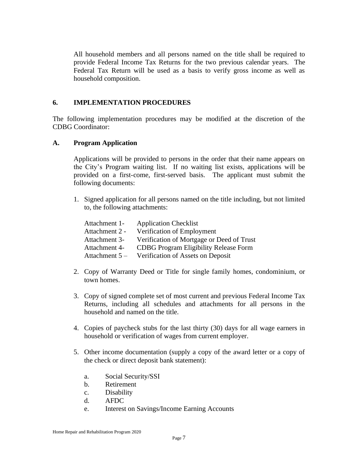All household members and all persons named on the title shall be required to provide Federal Income Tax Returns for the two previous calendar years. The Federal Tax Return will be used as a basis to verify gross income as well as household composition.

#### **6. IMPLEMENTATION PROCEDURES**

The following implementation procedures may be modified at the discretion of the CDBG Coordinator:

#### **A. Program Application**

Applications will be provided to persons in the order that their name appears on the City's Program waiting list. If no waiting list exists, applications will be provided on a first-come, first-served basis. The applicant must submit the following documents:

1. Signed application for all persons named on the title including, but not limited to, the following attachments:

| Attachment 1-   | <b>Application Checklist</b>                 |
|-----------------|----------------------------------------------|
| Attachment 2 -  | Verification of Employment                   |
| Attachment 3-   | Verification of Mortgage or Deed of Trust    |
| Attachment 4-   | <b>CDBG</b> Program Eligibility Release Form |
| Attachment $5-$ | Verification of Assets on Deposit            |

- 2. Copy of Warranty Deed or Title for single family homes, condominium, or town homes.
- 3. Copy of signed complete set of most current and previous Federal Income Tax Returns, including all schedules and attachments for all persons in the household and named on the title.
- 4. Copies of paycheck stubs for the last thirty (30) days for all wage earners in household or verification of wages from current employer.
- 5. Other income documentation (supply a copy of the award letter or a copy of the check or direct deposit bank statement):
	- a. Social Security/SSI
	- b. Retirement
	- c. Disability
	- d. AFDC
	- e. Interest on Savings/Income Earning Accounts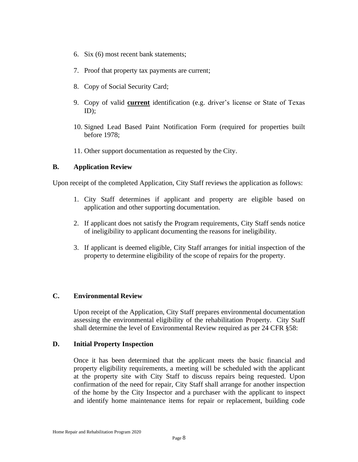- 6. Six (6) most recent bank statements;
- 7. Proof that property tax payments are current;
- 8. Copy of Social Security Card;
- 9. Copy of valid **current** identification (e.g. driver's license or State of Texas ID);
- 10. Signed Lead Based Paint Notification Form (required for properties built before 1978;
- 11. Other support documentation as requested by the City.

#### **B. Application Review**

Upon receipt of the completed Application, City Staff reviews the application as follows:

- 1. City Staff determines if applicant and property are eligible based on application and other supporting documentation.
- 2. If applicant does not satisfy the Program requirements, City Staff sends notice of ineligibility to applicant documenting the reasons for ineligibility.
- 3. If applicant is deemed eligible, City Staff arranges for initial inspection of the property to determine eligibility of the scope of repairs for the property.

#### **C. Environmental Review**

Upon receipt of the Application, City Staff prepares environmental documentation assessing the environmental eligibility of the rehabilitation Property. City Staff shall determine the level of Environmental Review required as per 24 CFR §58:

#### **D. Initial Property Inspection**

Once it has been determined that the applicant meets the basic financial and property eligibility requirements, a meeting will be scheduled with the applicant at the property site with City Staff to discuss repairs being requested. Upon confirmation of the need for repair, City Staff shall arrange for another inspection of the home by the City Inspector and a purchaser with the applicant to inspect and identify home maintenance items for repair or replacement, building code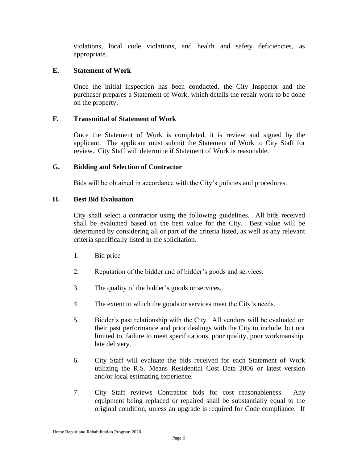violations, local code violations, and health and safety deficiencies, as appropriate.

#### **E. Statement of Work**

Once the initial inspection has been conducted, the City Inspector and the purchaser prepares a Statement of Work, which details the repair work to be done on the property.

#### **F. Transmittal of Statement of Work**

Once the Statement of Work is completed, it is review and signed by the applicant. The applicant must submit the Statement of Work to City Staff for review. City Staff will determine if Statement of Work is reasonable.

#### **G. Bidding and Selection of Contractor**

Bids will be obtained in accordance with the City's policies and procedures.

#### **H. Best Bid Evaluation**

City shall select a contractor using the following guidelines. All bids received shall be evaluated based on the best value for the City. Best value will be determined by considering all or part of the criteria listed, as well as any relevant criteria specifically listed in the solicitation.

- 1. Bid price
- 2. Reputation of the bidder and of bidder's goods and services.
- 3. The quality of the bidder's goods or services.
- 4. The extent to which the goods or services meet the City's needs.
- 5. Bidder's past relationship with the City. All vendors will be evaluated on their past performance and prior dealings with the City to include, but not limited to, failure to meet specifications, poor quality, poor workmanship, late delivery.
- 6. City Staff will evaluate the bids received for each Statement of Work utilizing the R.S. Means Residential Cost Data 2006 or latest version and/or local estimating experience.
- 7. City Staff reviews Contractor bids for cost reasonableness. Any equipment being replaced or repaired shall be substantially equal to the original condition, unless an upgrade is required for Code compliance. If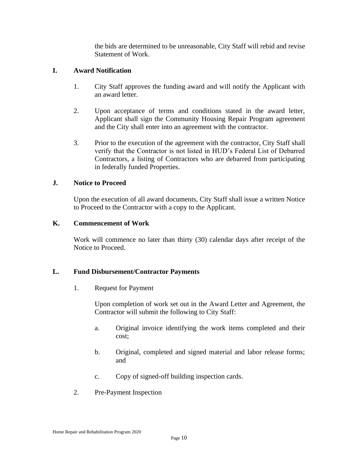the bids are determined to be unreasonable, City Staff will rebid and revise Statement of Work.

#### **I. Award Notification**

- 1. City Staff approves the funding award and will notify the Applicant with an award letter.
- 2. Upon acceptance of terms and conditions stated in the award letter, Applicant shall sign the Community Housing Repair Program agreement and the City shall enter into an agreement with the contractor.
- 3. Prior to the execution of the agreement with the contractor, City Staff shall verify that the Contractor is not listed in HUD's Federal List of Debarred Contractors, a listing of Contractors who are debarred from participating in federally funded Properties.

#### **J. Notice to Proceed**

Upon the execution of all award documents, City Staff shall issue a written Notice to Proceed to the Contractor with a copy to the Applicant.

#### **K. Commencement of Work**

Work will commence no later than thirty (30) calendar days after receipt of the Notice to Proceed.

#### **L. Fund Disbursement/Contractor Payments**

1. Request for Payment

Upon completion of work set out in the Award Letter and Agreement, the Contractor will submit the following to City Staff:

- a. Original invoice identifying the work items completed and their cost;
- b. Original, completed and signed material and labor release forms; and
- c. Copy of signed-off building inspection cards.
- 2. Pre-Payment Inspection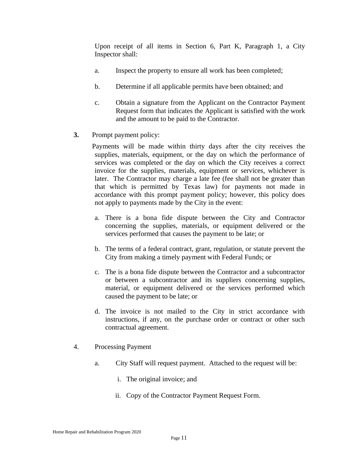Upon receipt of all items in Section 6, Part K, Paragraph 1, a City Inspector shall:

- a. Inspect the property to ensure all work has been completed;
- b. Determine if all applicable permits have been obtained; and
- c. Obtain a signature from the Applicant on the Contractor Payment Request form that indicates the Applicant is satisfied with the work and the amount to be paid to the Contractor.
- **3.** Prompt payment policy:

Payments will be made within thirty days after the city receives the supplies, materials, equipment, or the day on which the performance of services was completed or the day on which the City receives a correct invoice for the supplies, materials, equipment or services, whichever is later. The Contractor may charge a late fee (fee shall not be greater than that which is permitted by Texas law) for payments not made in accordance with this prompt payment policy; however, this policy does not apply to payments made by the City in the event:

- a. There is a bona fide dispute between the City and Contractor concerning the supplies, materials, or equipment delivered or the services performed that causes the payment to be late; or
- b. The terms of a federal contract, grant, regulation, or statute prevent the City from making a timely payment with Federal Funds; or
- c. The is a bona fide dispute between the Contractor and a subcontractor or between a subcontractor and its suppliers concerning supplies, material, or equipment delivered or the services performed which caused the payment to be late; or
- d. The invoice is not mailed to the City in strict accordance with instructions, if any, on the purchase order or contract or other such contractual agreement.
- 4. Processing Payment
	- a. City Staff will request payment. Attached to the request will be:
		- i. The original invoice; and
		- ii. Copy of the Contractor Payment Request Form.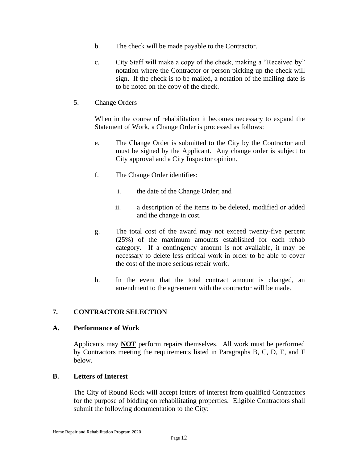- b. The check will be made payable to the Contractor.
- c. City Staff will make a copy of the check, making a "Received by" notation where the Contractor or person picking up the check will sign. If the check is to be mailed, a notation of the mailing date is to be noted on the copy of the check.
- 5. Change Orders

When in the course of rehabilitation it becomes necessary to expand the Statement of Work, a Change Order is processed as follows:

- e. The Change Order is submitted to the City by the Contractor and must be signed by the Applicant. Any change order is subject to City approval and a City Inspector opinion.
- f. The Change Order identifies:
	- i. the date of the Change Order; and
	- ii. a description of the items to be deleted, modified or added and the change in cost.
- g. The total cost of the award may not exceed twenty-five percent (25%) of the maximum amounts established for each rehab category. If a contingency amount is not available, it may be necessary to delete less critical work in order to be able to cover the cost of the more serious repair work.
- h. In the event that the total contract amount is changed, an amendment to the agreement with the contractor will be made.

#### **7. CONTRACTOR SELECTION**

#### **A. Performance of Work**

Applicants may **NOT** perform repairs themselves. All work must be performed by Contractors meeting the requirements listed in Paragraphs B, C, D, E, and F below.

#### **B. Letters of Interest**

The City of Round Rock will accept letters of interest from qualified Contractors for the purpose of bidding on rehabilitating properties. Eligible Contractors shall submit the following documentation to the City: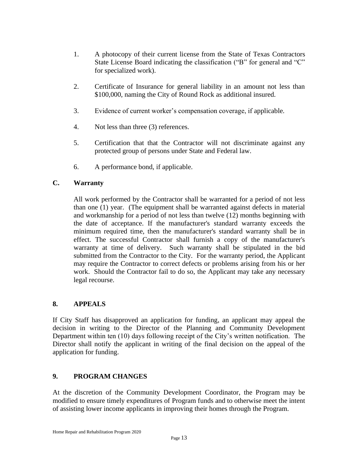- 1. A photocopy of their current license from the State of Texas Contractors State License Board indicating the classification ("B" for general and "C" for specialized work).
- 2. Certificate of Insurance for general liability in an amount not less than \$100,000, naming the City of Round Rock as additional insured.
- 3. Evidence of current worker's compensation coverage, if applicable.
- 4. Not less than three (3) references.
- 5. Certification that that the Contractor will not discriminate against any protected group of persons under State and Federal law.
- 6. A performance bond, if applicable.

#### **C. Warranty**

All work performed by the Contractor shall be warranted for a period of not less than one (1) year. (The equipment shall be warranted against defects in material and workmanship for a period of not less than twelve (12) months beginning with the date of acceptance. If the manufacturer's standard warranty exceeds the minimum required time, then the manufacturer's standard warranty shall be in effect. The successful Contractor shall furnish a copy of the manufacturer's warranty at time of delivery. Such warranty shall be stipulated in the bid submitted from the Contractor to the City. For the warranty period, the Applicant may require the Contractor to correct defects or problems arising from his or her work. Should the Contractor fail to do so, the Applicant may take any necessary legal recourse.

#### **8. APPEALS**

If City Staff has disapproved an application for funding, an applicant may appeal the decision in writing to the Director of the Planning and Community Development Department within ten (10) days following receipt of the City's written notification. The Director shall notify the applicant in writing of the final decision on the appeal of the application for funding.

#### **9. PROGRAM CHANGES**

At the discretion of the Community Development Coordinator, the Program may be modified to ensure timely expenditures of Program funds and to otherwise meet the intent of assisting lower income applicants in improving their homes through the Program.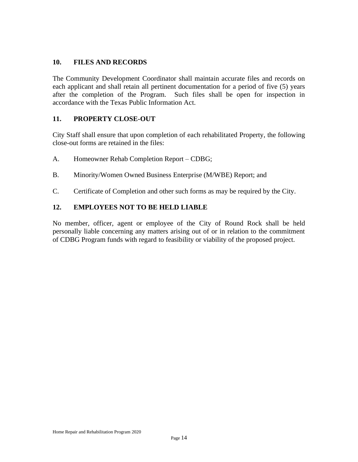#### **10. FILES AND RECORDS**

The Community Development Coordinator shall maintain accurate files and records on each applicant and shall retain all pertinent documentation for a period of five (5) years after the completion of the Program. Such files shall be open for inspection in accordance with the Texas Public Information Act.

#### **11. PROPERTY CLOSE-OUT**

City Staff shall ensure that upon completion of each rehabilitated Property, the following close-out forms are retained in the files:

- A. Homeowner Rehab Completion Report CDBG;
- B. Minority/Women Owned Business Enterprise (M/WBE) Report; and
- C. Certificate of Completion and other such forms as may be required by the City.

#### **12. EMPLOYEES NOT TO BE HELD LIABLE**

No member, officer, agent or employee of the City of Round Rock shall be held personally liable concerning any matters arising out of or in relation to the commitment of CDBG Program funds with regard to feasibility or viability of the proposed project.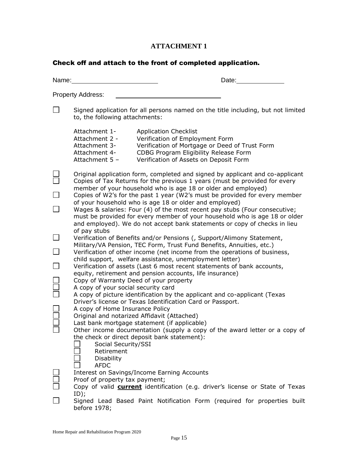#### **ATTACHMENT 1**

#### Check off and attach to the front of completed application.

| Name: | Date:                                                                                                                                                                                                                                                                                                                                                                                                                                                                                                                                                                                                                                                                                                                                                                                                                                                                                                                                     |  |  |  |  |
|-------|-------------------------------------------------------------------------------------------------------------------------------------------------------------------------------------------------------------------------------------------------------------------------------------------------------------------------------------------------------------------------------------------------------------------------------------------------------------------------------------------------------------------------------------------------------------------------------------------------------------------------------------------------------------------------------------------------------------------------------------------------------------------------------------------------------------------------------------------------------------------------------------------------------------------------------------------|--|--|--|--|
|       | <b>Property Address:</b>                                                                                                                                                                                                                                                                                                                                                                                                                                                                                                                                                                                                                                                                                                                                                                                                                                                                                                                  |  |  |  |  |
|       | Signed application for all persons named on the title including, but not limited<br>to, the following attachments:                                                                                                                                                                                                                                                                                                                                                                                                                                                                                                                                                                                                                                                                                                                                                                                                                        |  |  |  |  |
|       | Attachment 1-<br><b>Application Checklist</b><br>Attachment 2 -<br>Verification of Employment Form<br>Verification of Mortgage or Deed of Trust Form<br>Attachment 3-<br>CDBG Program Eligibility Release Form<br>Attachment 4-<br>Attachment 5 -<br>Verification of Assets on Deposit Form                                                                                                                                                                                                                                                                                                                                                                                                                                                                                                                                                                                                                                               |  |  |  |  |
|       | Original application form, completed and signed by applicant and co-applicant<br>Copies of Tax Returns for the previous 1 years (must be provided for every<br>member of your household who is age 18 or older and employed)<br>Copies of W2's for the past 1 year (W2's must be provided for every member<br>of your household who is age 18 or older and employed)<br>Wages & salaries: Four (4) of the most recent pay stubs (Four consecutive;<br>must be provided for every member of your household who is age 18 or older<br>and employed). We do not accept bank statements or copy of checks in lieu                                                                                                                                                                                                                                                                                                                             |  |  |  |  |
|       | of pay stubs<br>Verification of Benefits and/or Pensions (, Support/Alimony Statement,<br>Military/VA Pension, TEC Form, Trust Fund Benefits, Annuities, etc.)<br>Verification of other income (net income from the operations of business,<br>child support, welfare assistance, unemployment letter)<br>Verification of assets (Last 6 most recent statements of bank accounts,<br>equity, retirement and pension accounts, life insurance)<br>Copy of Warranty Deed of your property<br>A copy of your social security card<br>A copy of picture identification by the applicant and co-applicant (Texas<br>Driver's license or Texas Identification Card or Passport.<br>A copy of Home Insurance Policy<br>Original and notarized Affidavit (Attached)<br>Last bank mortgage statement (if applicable)<br>Other income documentation (supply a copy of the award letter or a copy of<br>the check or direct deposit bank statement): |  |  |  |  |
|       | Retirement<br><b>Disability</b><br><b>AFDC</b><br>Interest on Savings/Income Earning Accounts<br>Proof of property tax payment;<br>Copy of valid <b>current</b> identification (e.g. driver's license or State of Texas<br>ID);<br>Signed Lead Based Paint Notification Form (required for properties built<br>before 1978;                                                                                                                                                                                                                                                                                                                                                                                                                                                                                                                                                                                                               |  |  |  |  |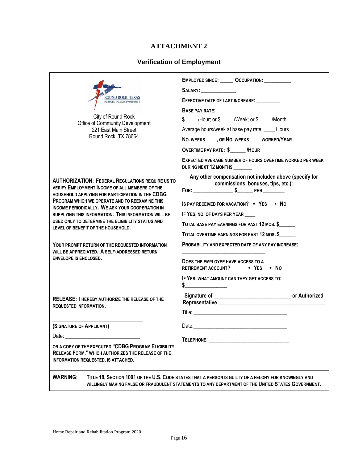#### **ATTACHMENT 2**

#### **Verification of Employment**

|                                                                                                                                                                                                                                | EMPLOYED SINCE: ________ OCCUPATION: ___________<br>SALARY:                                                                                                                                                                    |  |  |  |
|--------------------------------------------------------------------------------------------------------------------------------------------------------------------------------------------------------------------------------|--------------------------------------------------------------------------------------------------------------------------------------------------------------------------------------------------------------------------------|--|--|--|
| ROUND ROCK, TEXAS<br>PURPOSE, PASSION, PROSPERITY                                                                                                                                                                              | EFFECTIVE DATE OF LAST INCREASE:                                                                                                                                                                                               |  |  |  |
|                                                                                                                                                                                                                                | BASE PAY RATE:                                                                                                                                                                                                                 |  |  |  |
| City of Round Rock                                                                                                                                                                                                             | \$_____/Hour; or \$_____/Week; or \$_____/Month                                                                                                                                                                                |  |  |  |
| Office of Community Development<br>221 East Main Street                                                                                                                                                                        | Average hours/week at base pay rate: ____ Hours                                                                                                                                                                                |  |  |  |
| Round Rock, TX 78664                                                                                                                                                                                                           | NO. WEEKS _____, OR NO. WEEKS _____ WORKED/YEAR                                                                                                                                                                                |  |  |  |
|                                                                                                                                                                                                                                | <b>OVERTIME PAY RATE: \$ /HOUR</b>                                                                                                                                                                                             |  |  |  |
|                                                                                                                                                                                                                                | <b>EXPECTED AVERAGE NUMBER OF HOURS OVERTIME WORKED PER WEEK</b><br>DURING NEXT 12 MONTHS                                                                                                                                      |  |  |  |
| <b>AUTHORIZATION: FEDERAL REGULATIONS REQUIRE US TO</b><br><b>VERIFY EMPLOYMENT INCOME OF ALL MEMBERS OF THE</b>                                                                                                               | Any other compensation not included above (specify for<br>commissions, bonuses, tips, etc.):                                                                                                                                   |  |  |  |
| HOUSEHOLD APPLYING FOR PARTICIPATION IN THE CDBG<br>PROGRAM WHICH WE OPERATE AND TO REEXAMINE THIS<br>INCOME PERIODICALLY. WE ASK YOUR COOPERATION IN                                                                          | IS PAY RECEIVED FOR VACATION? . YES . NO                                                                                                                                                                                       |  |  |  |
| SUPPLYING THIS INFORMATION. THIS INFORMATION WILL BE                                                                                                                                                                           | IF YES, NO. OF DAYS PER YEAR ____                                                                                                                                                                                              |  |  |  |
| USED ONLY TO DETERMINE THE ELIGIBILITY STATUS AND<br>LEVEL OF BENEFIT OF THE HOUSEHOLD.                                                                                                                                        | TOTAL BASE PAY EARNINGS FOR PAST 12 MOS. \$                                                                                                                                                                                    |  |  |  |
|                                                                                                                                                                                                                                | TOTAL OVERTIME EARNINGS FOR PAST 12 MOS. \$                                                                                                                                                                                    |  |  |  |
| YOUR PROMPT RETURN OF THE REQUESTED INFORMATION<br>WILL BE APPRECIATED. A SELF-ADDRESSED RETURN                                                                                                                                | <b>PROBABILITY AND EXPECTED DATE OF ANY PAY INCREASE:</b>                                                                                                                                                                      |  |  |  |
| <b>ENVELOPE IS ENCLOSED.</b>                                                                                                                                                                                                   | DOES THE EMPLOYEE HAVE ACCESS TO A<br>RETIREMENT ACCOUNT?<br>$\bullet$ YES $\bullet$ No                                                                                                                                        |  |  |  |
|                                                                                                                                                                                                                                | IF YES, WHAT AMOUNT CAN THEY GET ACCESS TO:<br>$\sim$                                                                                                                                                                          |  |  |  |
| RELEASE: I HEREBY AUTHORIZE THE RELEASE OF THE<br><b>REQUESTED INFORMATION.</b>                                                                                                                                                |                                                                                                                                                                                                                                |  |  |  |
|                                                                                                                                                                                                                                |                                                                                                                                                                                                                                |  |  |  |
| (SIGNATURE OF APPLICANT)                                                                                                                                                                                                       |                                                                                                                                                                                                                                |  |  |  |
| Date: the contract of the contract of the contract of the contract of the contract of the contract of the contract of the contract of the contract of the contract of the contract of the contract of the contract of the cont | TELEPHONE: THE CONTROL OF THE CONTROL OF THE CONTROL OF THE CONTROL OF THE CONTROL OF THE CONTROL OF THE CONTROL OF THE CONTROL OF THE CONTROL OF THE CONTROL OF THE CONTROL OF THE CONTROL OF THE CONTROL OF THE CONTROL OF T |  |  |  |
| OR A COPY OF THE EXECUTED "CDBG PROGRAM ELIGIBILITY<br>RELEASE FORM," WHICH AUTHORIZES THE RELEASE OF THE<br>INFORMATION REQUESTED, IS ATTACHED.                                                                               |                                                                                                                                                                                                                                |  |  |  |
| <b>WARNING:</b>                                                                                                                                                                                                                | TITLE 18, SECTION 1001 OF THE U.S. CODE STATES THAT A PERSON IS GUILTY OF A FELONY FOR KNOWINGLY AND<br>WILLINGLY MAKING FALSE OR FRAUDULENT STATEMENTS TO ANY DEPARTMENT OF THE UNITED STATES GOVERNMENT.                     |  |  |  |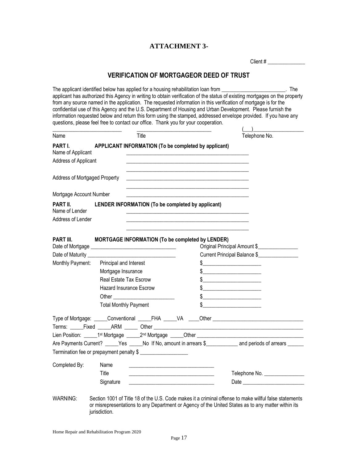#### **ATTACHMENT 3-**

Client #

#### **VERIFICATION OF MORTGAGEOR DEED OF TRUST**

The applicant identified below has applied for a housing rehabilitation loan from \_\_\_\_\_\_\_\_\_\_\_\_\_\_\_\_\_\_\_\_\_\_\_\_\_. The applicant has authorized this Agency in writing to obtain verification of the status of existing mortgages on the property from any source named in the application. The requested information in this verification of mortgage is for the confidential use of this Agency and the U.S. Department of Housing and Urban Development. Please furnish the information requested below and return this form using the stamped, addressed envelope provided. If you have any questions, please feel free to contact our office. Thank you for your cooperation.

| Name                              |                                                         | Title                                                                                                                 |                                                                                                                                                                                                                                                                                                                     | Telephone No.                                                                                                                                                                                                                                                                                                       |
|-----------------------------------|---------------------------------------------------------|-----------------------------------------------------------------------------------------------------------------------|---------------------------------------------------------------------------------------------------------------------------------------------------------------------------------------------------------------------------------------------------------------------------------------------------------------------|---------------------------------------------------------------------------------------------------------------------------------------------------------------------------------------------------------------------------------------------------------------------------------------------------------------------|
| PART I.<br>Name of Applicant      | APPLICANT INFORMATION (To be completed by applicant)    |                                                                                                                       |                                                                                                                                                                                                                                                                                                                     |                                                                                                                                                                                                                                                                                                                     |
| Address of Applicant              |                                                         |                                                                                                                       |                                                                                                                                                                                                                                                                                                                     |                                                                                                                                                                                                                                                                                                                     |
| Address of Mortgaged Property     |                                                         | <u> 1989 - Johann Barbara, martin amerikan basar dan berasal dan berasal dalam basar dalam basar dalam basar dala</u> |                                                                                                                                                                                                                                                                                                                     |                                                                                                                                                                                                                                                                                                                     |
| Mortgage Account Number           |                                                         |                                                                                                                       |                                                                                                                                                                                                                                                                                                                     |                                                                                                                                                                                                                                                                                                                     |
| <b>PART II.</b><br>Name of Lender | LENDER INFORMATION (To be completed by applicant)       |                                                                                                                       |                                                                                                                                                                                                                                                                                                                     |                                                                                                                                                                                                                                                                                                                     |
| Address of Lender                 |                                                         |                                                                                                                       |                                                                                                                                                                                                                                                                                                                     |                                                                                                                                                                                                                                                                                                                     |
| <b>PART III.</b>                  | <b>MORTGAGE INFORMATION (To be completed by LENDER)</b> |                                                                                                                       |                                                                                                                                                                                                                                                                                                                     | Original Principal Amount \$                                                                                                                                                                                                                                                                                        |
|                                   |                                                         |                                                                                                                       |                                                                                                                                                                                                                                                                                                                     | Current Principal Balance \$                                                                                                                                                                                                                                                                                        |
| Monthly Payment:                  | Principal and Interest                                  |                                                                                                                       |                                                                                                                                                                                                                                                                                                                     |                                                                                                                                                                                                                                                                                                                     |
|                                   | Mortgage Insurance                                      |                                                                                                                       |                                                                                                                                                                                                                                                                                                                     | $\frac{1}{2}$                                                                                                                                                                                                                                                                                                       |
|                                   | <b>Real Estate Tax Escrow</b>                           |                                                                                                                       | $\frac{1}{2}$ $\frac{1}{2}$ $\frac{1}{2}$ $\frac{1}{2}$ $\frac{1}{2}$ $\frac{1}{2}$ $\frac{1}{2}$ $\frac{1}{2}$ $\frac{1}{2}$ $\frac{1}{2}$ $\frac{1}{2}$ $\frac{1}{2}$ $\frac{1}{2}$ $\frac{1}{2}$ $\frac{1}{2}$ $\frac{1}{2}$ $\frac{1}{2}$ $\frac{1}{2}$ $\frac{1}{2}$ $\frac{1}{2}$ $\frac{1}{2}$ $\frac{1}{2}$ |                                                                                                                                                                                                                                                                                                                     |
|                                   | <b>Hazard Insurance Escrow</b>                          |                                                                                                                       |                                                                                                                                                                                                                                                                                                                     |                                                                                                                                                                                                                                                                                                                     |
|                                   |                                                         |                                                                                                                       |                                                                                                                                                                                                                                                                                                                     | $\frac{1}{2}$ $\frac{1}{2}$ $\frac{1}{2}$ $\frac{1}{2}$ $\frac{1}{2}$ $\frac{1}{2}$ $\frac{1}{2}$ $\frac{1}{2}$ $\frac{1}{2}$ $\frac{1}{2}$ $\frac{1}{2}$ $\frac{1}{2}$ $\frac{1}{2}$ $\frac{1}{2}$ $\frac{1}{2}$ $\frac{1}{2}$ $\frac{1}{2}$ $\frac{1}{2}$ $\frac{1}{2}$ $\frac{1}{2}$ $\frac{1}{2}$ $\frac{1}{2}$ |
|                                   |                                                         |                                                                                                                       |                                                                                                                                                                                                                                                                                                                     |                                                                                                                                                                                                                                                                                                                     |
|                                   | <b>Total Monthly Payment</b>                            |                                                                                                                       |                                                                                                                                                                                                                                                                                                                     | <u>and the state of the state of the state</u>                                                                                                                                                                                                                                                                      |
|                                   |                                                         |                                                                                                                       |                                                                                                                                                                                                                                                                                                                     |                                                                                                                                                                                                                                                                                                                     |
|                                   |                                                         |                                                                                                                       |                                                                                                                                                                                                                                                                                                                     |                                                                                                                                                                                                                                                                                                                     |
|                                   |                                                         |                                                                                                                       |                                                                                                                                                                                                                                                                                                                     |                                                                                                                                                                                                                                                                                                                     |
|                                   |                                                         |                                                                                                                       |                                                                                                                                                                                                                                                                                                                     | Are Payments Current? _____Yes _____No If No, amount in arrears \$______________ and periods of arrears ______                                                                                                                                                                                                      |
|                                   | Termination fee or prepayment penalty \$                |                                                                                                                       |                                                                                                                                                                                                                                                                                                                     |                                                                                                                                                                                                                                                                                                                     |
| Completed By:                     | Name                                                    |                                                                                                                       |                                                                                                                                                                                                                                                                                                                     |                                                                                                                                                                                                                                                                                                                     |
|                                   | Title                                                   | <u> 1989 - Johann Barbara, martin amerikan basar dan berasal dalam basa dalam basar dalam basar dalam basar dala</u>  |                                                                                                                                                                                                                                                                                                                     | Telephone No. ________________                                                                                                                                                                                                                                                                                      |

WARNING: Section 1001 of Title 18 of the U.S. Code makes it a criminal offense to make willful false statements or misrepresentations to any Department or Agency of the United States as to any matter within its jurisdiction.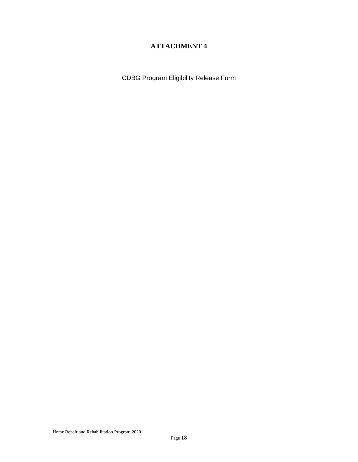#### **ATTACHMENT 4**

CDBG Program Eligibility Release Form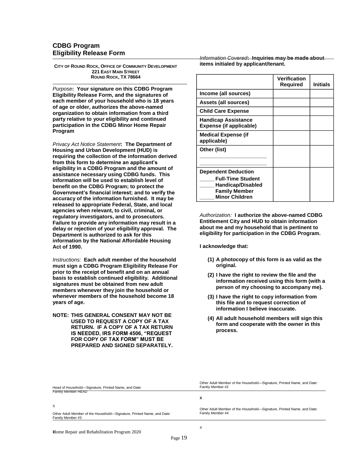#### **CDBG Program Eligibility Release Form**

**CITY OF ROUND ROCK, OFFICE OF COMMUNITY DEVELOPMENT 221 EAST MAIN STREET ROUND ROCK, TX 78664**

*Purpose***: Your signature on this CDBG Program Eligibility Release Form, and the signatures of each member of your household who is 18 years of age or older, authorizes the above-named organization to obtain information from a third party relative to your eligibility and continued participation in the CDBG Minor Home Repair Program**

*Privacy Act Notice Statement***: The Department of Housing and Urban Development (HUD) is requiring the collection of the information derived from this form to determine an applicant's eligibility in a CDBG Program and the amount of assistance necessary using CDBG funds. This information will be used to establish level of benefit on the CDBG Program; to protect the Government's financial interest; and to verify the accuracy of the information furnished. It may be released to appropriate Federal, State, and local agencies when relevant, to civil, criminal, or regulatory investigators, and to prosecutors. Failure to provide any information may result in a delay or rejection of your eligibility approval. The Department is authorized to ask for this information by the National Affordable Housing Act of 1990.**

*Instructions:* **Each adult member of the household must sign a CDBG Program Eligibility Release For prior to the receipt of benefit and on an annual basis to establish continued eligibility. Additional signatures must be obtained from new adult members whenever they join the household or whenever members of the household become 18 years of age.**

**NOTE: THIS GENERAL CONSENT MAY NOT BE USED TO REQUEST A COPY OF A TAX RETURN. IF A COPY OF A TAX RETURN IS NEEDED, IRS FORM 4506, "REQUEST FOR COPY OF TAX FORM" MUST BE PREPARED AND SIGNED SEPARATELY.**

*Information Covered***: Inquiries may be made about items initialed by applicant/tenant.**

|                                                                                                                                     | <b>Verification</b><br>Required | Initials |
|-------------------------------------------------------------------------------------------------------------------------------------|---------------------------------|----------|
| Income (all sources)                                                                                                                |                                 |          |
| Assets (all sources)                                                                                                                |                                 |          |
| <b>Child Care Expense</b>                                                                                                           |                                 |          |
| <b>Handicap Assistance</b><br><b>Expense (if applicable)</b>                                                                        |                                 |          |
| <b>Medical Expense (if</b><br>applicable)                                                                                           |                                 |          |
| Other (list)                                                                                                                        |                                 |          |
| <b>Dependent Deduction</b><br><b>Full-Time Student</b><br><b>Handicap/Disabled</b><br><b>Family Member</b><br><b>Minor Children</b> |                                 |          |

*Authorization:* **I authorize the above-named CDBG Entitlement City and HUD to obtain information about me and my household that is pertinent to eligibility for participation in the CDBG Program.**

**I acknowledge that:**

- **(1) A photocopy of this form is as valid as the original.**
- **(2) I have the right to review the file and the information received using this form (with a person of my choosing to accompany me).**
- **(3) I have the right to copy information from this file and to request correction of information I believe inaccurate.**
- **(4) All adult household members will sign this form and cooperate with the owner in this process.**

| Head of Household-Signature, Printed Name, and Date:                                       | Other Adult Member of the Household—Signature, Printed Name, and Date:<br>Family Member #2 |
|--------------------------------------------------------------------------------------------|--------------------------------------------------------------------------------------------|
| Family Member HEAD                                                                         |                                                                                            |
|                                                                                            | Λ                                                                                          |
| X                                                                                          | Other Adult Member of the Household—Signature, Printed Name, and Date:                     |
| Other Adult Member of the Household-Signature, Printed Name, and Date:<br>Family Member #3 | Family Member #4                                                                           |
|                                                                                            |                                                                                            |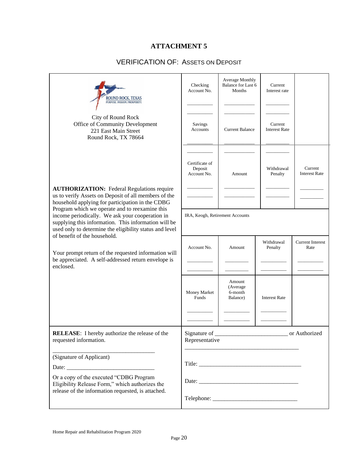#### **ATTACHMENT 5**

#### VERIFICATION OF: ASSETS ON DEPOSIT

| ROUND ROCK. TEXAS<br>PURPOSE. PASSION. PROSPERITY.                                                                                                                                                                                                   | Checking<br>Account No.                  | Average Monthly<br>Balance for Last 6<br>Months | Current<br>Interest rate        |                                 |  |
|------------------------------------------------------------------------------------------------------------------------------------------------------------------------------------------------------------------------------------------------------|------------------------------------------|-------------------------------------------------|---------------------------------|---------------------------------|--|
| City of Round Rock<br>Office of Community Development<br>221 East Main Street<br>Round Rock, TX 78664                                                                                                                                                | Savings<br>Accounts                      | <b>Current Balance</b>                          | Current<br><b>Interest Rate</b> |                                 |  |
|                                                                                                                                                                                                                                                      | Certificate of<br>Deposit<br>Account No. | Amount                                          | Withdrawal<br>Penalty           | Current<br><b>Interest Rate</b> |  |
| <b>AUTHORIZATION:</b> Federal Regulations require<br>us to verify Assets on Deposit of all members of the<br>household applying for participation in the CDBG                                                                                        |                                          |                                                 |                                 |                                 |  |
| Program which we operate and to reexamine this<br>income periodically. We ask your cooperation in<br>supplying this information. This information will be<br>used only to determine the eligibility status and level<br>of benefit of the household. | IRA, Keogh, Retirement Accounts          |                                                 |                                 |                                 |  |
| Your prompt return of the requested information will<br>be appreciated. A self-addressed return envelope is                                                                                                                                          | Account No.                              | Amount                                          | Withdrawal<br>Penalty           | <b>Current Interest</b><br>Rate |  |
| enclosed.                                                                                                                                                                                                                                            |                                          |                                                 |                                 |                                 |  |
|                                                                                                                                                                                                                                                      | Money Market<br>Funds                    | Amount<br>(Average<br>6-month<br>Balance)       | <b>Interest Rate</b>            |                                 |  |
|                                                                                                                                                                                                                                                      |                                          |                                                 |                                 |                                 |  |
| <b>RELEASE:</b> I hereby authorize the release of the<br>requested information.                                                                                                                                                                      | Representative                           |                                                 |                                 | or Authorized                   |  |
| (Signature of Applicant)                                                                                                                                                                                                                             |                                          |                                                 |                                 |                                 |  |
| Or a copy of the executed "CDBG Program<br>Eligibility Release Form," which authorizes the<br>release of the information requested, is attached.                                                                                                     |                                          |                                                 |                                 |                                 |  |
|                                                                                                                                                                                                                                                      |                                          |                                                 |                                 |                                 |  |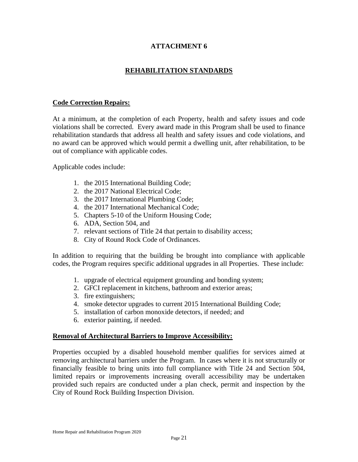#### **ATTACHMENT 6**

#### **REHABILITATION STANDARDS**

#### **Code Correction Repairs:**

At a minimum, at the completion of each Property, health and safety issues and code violations shall be corrected. Every award made in this Program shall be used to finance rehabilitation standards that address all health and safety issues and code violations, and no award can be approved which would permit a dwelling unit, after rehabilitation, to be out of compliance with applicable codes.

Applicable codes include:

- 1. the 2015 International Building Code;
- 2. the 2017 National Electrical Code;
- 3. the 2017 International Plumbing Code;
- 4. the 2017 International Mechanical Code;
- 5. Chapters 5-10 of the Uniform Housing Code;
- 6. ADA, Section 504, and
- 7. relevant sections of Title 24 that pertain to disability access;
- 8. City of Round Rock Code of Ordinances.

In addition to requiring that the building be brought into compliance with applicable codes, the Program requires specific additional upgrades in all Properties. These include:

- 1. upgrade of electrical equipment grounding and bonding system;
- 2. GFCI replacement in kitchens, bathroom and exterior areas;
- 3. fire extinguishers;
- 4. smoke detector upgrades to current 2015 International Building Code;
- 5. installation of carbon monoxide detectors, if needed; and
- 6. exterior painting, if needed.

#### **Removal of Architectural Barriers to Improve Accessibility:**

Properties occupied by a disabled household member qualifies for services aimed at removing architectural barriers under the Program. In cases where it is not structurally or financially feasible to bring units into full compliance with Title 24 and Section 504, limited repairs or improvements increasing overall accessibility may be undertaken provided such repairs are conducted under a plan check, permit and inspection by the City of Round Rock Building Inspection Division.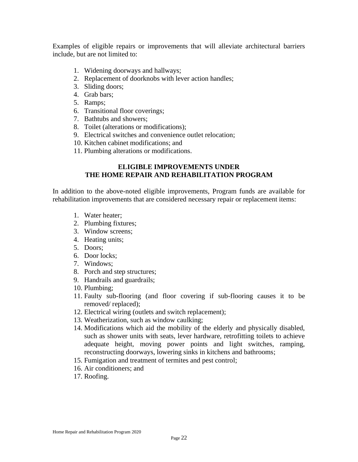Examples of eligible repairs or improvements that will alleviate architectural barriers include, but are not limited to:

- 1. Widening doorways and hallways;
- 2. Replacement of doorknobs with lever action handles;
- 3. Sliding doors;
- 4. Grab bars;
- 5. Ramps;
- 6. Transitional floor coverings;
- 7. Bathtubs and showers;
- 8. Toilet (alterations or modifications);
- 9. Electrical switches and convenience outlet relocation;
- 10. Kitchen cabinet modifications; and
- 11. Plumbing alterations or modifications.

#### **ELIGIBLE IMPROVEMENTS UNDER THE HOME REPAIR AND REHABILITATION PROGRAM**

In addition to the above-noted eligible improvements, Program funds are available for rehabilitation improvements that are considered necessary repair or replacement items:

- 1. Water heater;
- 2. Plumbing fixtures;
- 3. Window screens;
- 4. Heating units;
- 5. Doors;
- 6. Door locks;
- 7. Windows;
- 8. Porch and step structures;
- 9. Handrails and guardrails;
- 10. Plumbing;
- 11. Faulty sub-flooring (and floor covering if sub-flooring causes it to be removed/ replaced);
- 12. Electrical wiring (outlets and switch replacement);
- 13. Weatherization, such as window caulking;
- 14. Modifications which aid the mobility of the elderly and physically disabled, such as shower units with seats, lever hardware, retrofitting toilets to achieve adequate height, moving power points and light switches, ramping, reconstructing doorways, lowering sinks in kitchens and bathrooms;
- 15. Fumigation and treatment of termites and pest control;
- 16. Air conditioners; and
- 17. Roofing.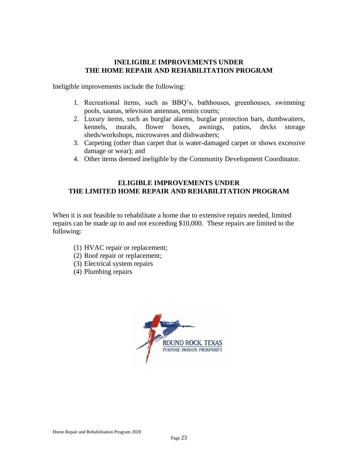#### **INELIGIBLE IMPROVEMENTS UNDER THE HOME REPAIR AND REHABILITATION PROGRAM**

Ineligible improvements include the following:

- 1. Recreational items, such as BBQ's, bathhouses, greenhouses, swimming pools, saunas, television antennas, tennis courts;
- 2. Luxury items, such as burglar alarms, burglar protection bars, dumbwaiters, kennels, murals, flower boxes, awnings, patios, decks storage sheds/workshops, microwaves and dishwashers;
- 3. Carpeting (other than carpet that is water-damaged carpet or shows excessive damage or wear); and
- 4. Other items deemed ineligible by the Community Development Coordinator.

#### **ELIGIBLE IMPROVEMENTS UNDER THE LIMITED HOME REPAIR AND REHABILITATION PROGRAM**

When it is not feasible to rehabilitate a home due to extensive repairs needed, limited repairs can be made up to and not exceeding \$10,000. These repairs are limited to the following:

- (1) HVAC repair or replacement;
- (2) Roof repair or replacement;
- (3) Electrical system repairs
- (4) Plumbing repairs